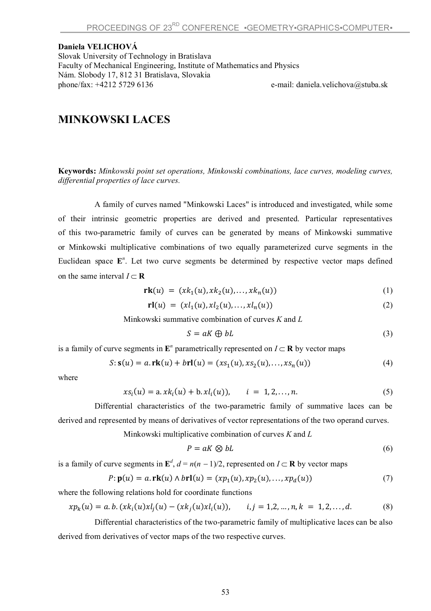**Daniela VELICHOVÁ** Slovak University of Technology in Bratislava Faculty of Mechanical Engineering, Institute of Mathematics and Physics Nám. Slobody 17, 812 31 Bratislava, Slovakia phone/fax: +4212 5729 6136 e-mail: daniela.velichova@stuba.sk

## **MINKOWSKI LACES**

**Keywords:** *Minkowski point set operations, Minkowski combinations, lace curves, modeling curves, differential properties of lace curves.* 

A family of curves named "Minkowski Laces" is introduced and investigated, while some of their intrinsic geometric properties are derived and presented. Particular representatives of this two-parametric family of curves can be generated by means of Minkowski summative or Minkowski multiplicative combinations of two equally parameterized curve segments in the Euclidean space E<sup>n</sup>. Let two curve segments be determined by respective vector maps defined on the same interval  $I \subset \mathbf{R}$ 

$$
rk(u) = (xk_1(u), xk_2(u), \dots, xk_n(u))
$$
\n(1)

$$
r1(u) = (x1_1(u), x1_2(u), \dots, x1_n(u))
$$
\n(2)

Minkowski summative combination of curves *K* and *L*

$$
S = aK \oplus bL \tag{3}
$$

is a family of curve segments in  $\mathbf{E}^n$  parametrically represented on  $I \subset \mathbf{R}$  by vector maps

$$
S: \mathbf{s}(u) = a.\mathbf{rk}(u) + b\mathbf{rl}(u) = (xs_1(u), xs_2(u), ..., xs_n(u))
$$
\n(4)

where

$$
xs_i(u) = a.xk_i(u) + b.xl_i(u)), \qquad i = 1, 2, ..., n.
$$
 (5)

Differential characteristics of the two-parametric family of summative laces can be derived and represented by means of derivatives of vector representations of the two operand curves.

Minkowski multiplicative combination of curves *K* and *L*

$$
P = aK \otimes bL \tag{6}
$$

is a family of curve segments in  $\mathbf{E}^d$ ,  $d = n(n-1)/2$ , represented on  $I \subset \mathbf{R}$  by vector maps

$$
P: \mathbf{p}(u) = a. \mathbf{rk}(u) \land b\mathbf{rl}(u) = (x p_1(u), x p_2(u), \dots, x p_d(u))
$$
\n(7)

where the following relations hold for coordinate functions

$$
xp_k(u) = a.b.(xk_i(u)xl_j(u) - (xk_j(u)xl_i(u)), \quad i, j = 1, 2, ..., n, k = 1, 2, ..., d.
$$
 (8)

Differential characteristics of the two-parametric family of multiplicative laces can be also derived from derivatives of vector maps of the two respective curves.